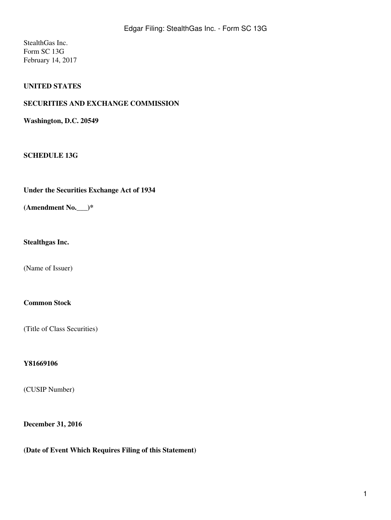StealthGas Inc. Form SC 13G February 14, 2017

# **UNITED STATES**

#### **SECURITIES AND EXCHANGE COMMISSION**

**Washington, D.C. 20549**

#### **SCHEDULE 13G**

**Under the Securities Exchange Act of 1934**

**(Amendment No.\_\_\_)\***

**Stealthgas Inc.**

(Name of Issuer)

#### **Common Stock**

(Title of Class Securities)

#### **Y81669106**

(CUSIP Number)

#### **December 31, 2016**

**(Date of Event Which Requires Filing of this Statement)**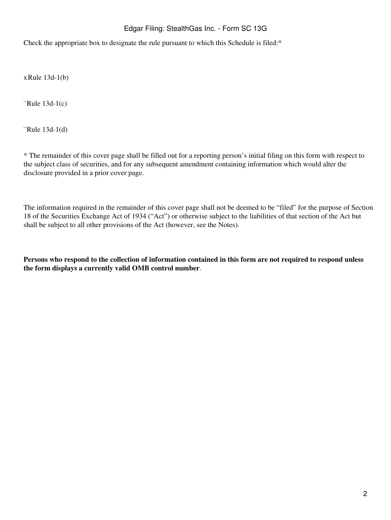# Edgar Filing: StealthGas Inc. - Form SC 13G

Check the appropriate box to designate the rule pursuant to which this Schedule is filed:\*

xRule 13d-1(b)

¨Rule 13d-1(c)

¨Rule 13d-1(d)

\* The remainder of this cover page shall be filled out for a reporting person's initial filing on this form with respect to the subject class of securities, and for any subsequent amendment containing information which would alter the disclosure provided in a prior cover page.

The information required in the remainder of this cover page shall not be deemed to be "filed" for the purpose of Section 18 of the Securities Exchange Act of 1934 ("Act") or otherwise subject to the liabilities of that section of the Act but shall be subject to all other provisions of the Act (however, see the Notes).

**Persons who respond to the collection of information contained in this form are not required to respond unless the form displays a currently valid OMB control number**.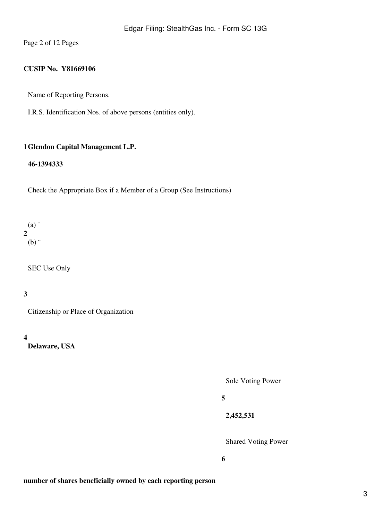Page 2 of 12 Pages

# **CUSIP No. Y81669106**

Name of Reporting Persons.

I.R.S. Identification Nos. of above persons (entities only).

#### **1 Glendon Capital Management L.P.**

#### **46-1394333**

Check the Appropriate Box if a Member of a Group (See Instructions)

**2** (a) ¨  $(b)$ 

SEC Use Only

# **3**

Citizenship or Place of Organization

**4**

**Delaware, USA**

Sole Voting Power

#### **5**

**2,452,531**

Shared Voting Power

**6**

#### **number of shares beneficially owned by each reporting person**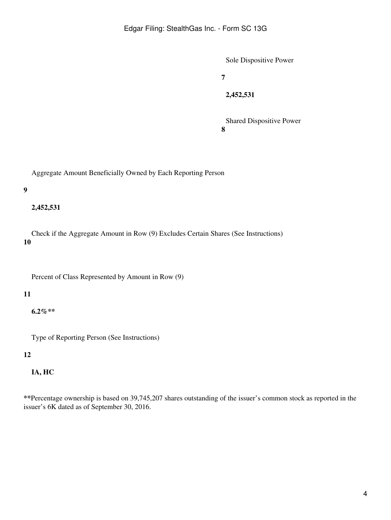Sole Dispositive Power

**7**

**2,452,531**

**8** Shared Dispositive Power

Aggregate Amount Beneficially Owned by Each Reporting Person

#### **9**

## **2,452,531**

**10** Check if the Aggregate Amount in Row (9) Excludes Certain Shares (See Instructions)

Percent of Class Represented by Amount in Row (9)

# **11**

**6.2%\*\***

Type of Reporting Person (See Instructions)

#### **12**

# **IA, HC**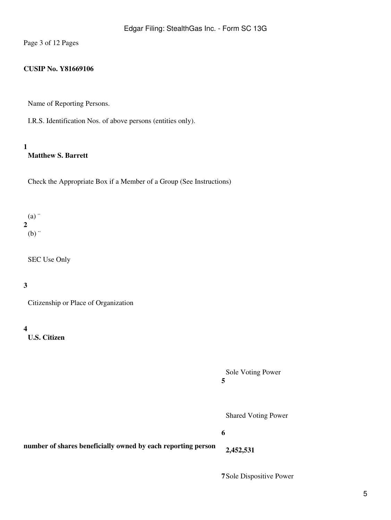Page 3 of 12 Pages

# **CUSIP No. Y81669106**

Name of Reporting Persons.

I.R.S. Identification Nos. of above persons (entities only).

# **1**

# **Matthew S. Barrett**

Check the Appropriate Box if a Member of a Group (See Instructions)

### **2** (a) ¨  $(b)$

SEC Use Only

# **3**

Citizenship or Place of Organization

#### **4**

**U.S. Citizen**

**5** Sole Voting Power

Shared Voting Power

#### **6**

**number of shares beneficially owned by each reporting person 2,452,531**

**7**Sole Dispositive Power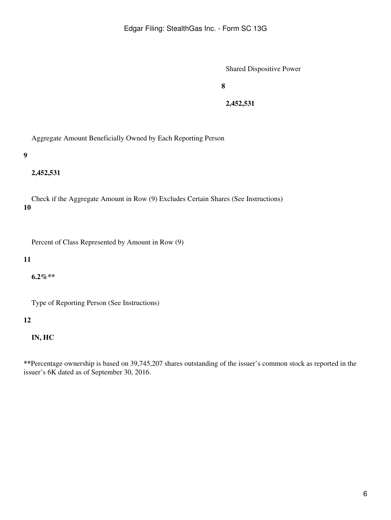**8**

**2,452,531**

Aggregate Amount Beneficially Owned by Each Reporting Person

**9**

**2,452,531**

**10** Check if the Aggregate Amount in Row (9) Excludes Certain Shares (See Instructions)

Percent of Class Represented by Amount in Row (9)

#### **11**

**6.2%\*\***

Type of Reporting Person (See Instructions)

#### **12**

**IN, HC**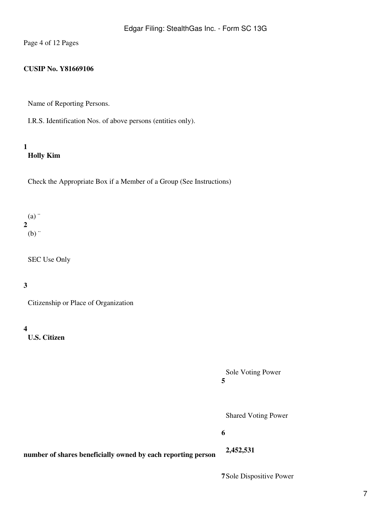Page 4 of 12 Pages

# **CUSIP No. Y81669106**

Name of Reporting Persons.

I.R.S. Identification Nos. of above persons (entities only).

# **1 Holly Kim**

Check the Appropriate Box if a Member of a Group (See Instructions)

### **2**  $(a)$  $(b)$  "

SEC Use Only

# **3**

Citizenship or Place of Organization

#### **4**

**U.S. Citizen**

**5** Sole Voting Power

Shared Voting Power

**6**

**number of shares beneficially owned by each reporting person**

**2,452,531**

**7**Sole Dispositive Power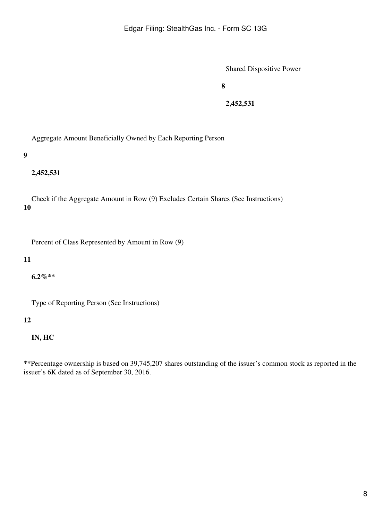**8**

**2,452,531**

Aggregate Amount Beneficially Owned by Each Reporting Person

**9**

**2,452,531**

**10** Check if the Aggregate Amount in Row (9) Excludes Certain Shares (See Instructions)

Percent of Class Represented by Amount in Row (9)

#### **11**

**6.2%\*\***

Type of Reporting Person (See Instructions)

#### **12**

**IN, HC**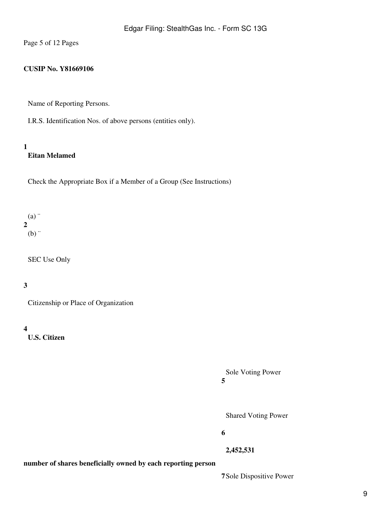Page 5 of 12 Pages

#### **CUSIP No. Y81669106**

Name of Reporting Persons.

I.R.S. Identification Nos. of above persons (entities only).

## **1 Eitan Melamed**

Check the Appropriate Box if a Member of a Group (See Instructions)

### **2** (a) ¨  $(b)$  "

SEC Use Only

# **3**

Citizenship or Place of Organization

#### **4**

**U.S. Citizen**

**5** Sole Voting Power

Shared Voting Power

**6**

**2,452,531**

**number of shares beneficially owned by each reporting person**

**7**Sole Dispositive Power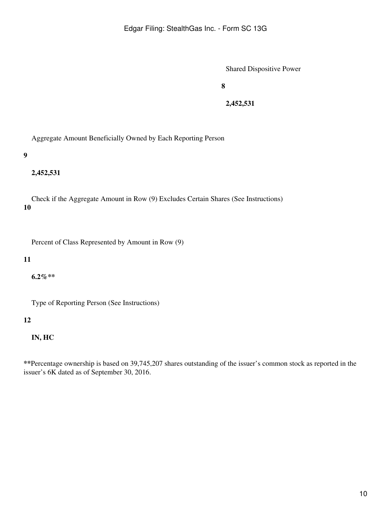**8**

**2,452,531**

Aggregate Amount Beneficially Owned by Each Reporting Person

**9**

**2,452,531**

**10** Check if the Aggregate Amount in Row (9) Excludes Certain Shares (See Instructions)

Percent of Class Represented by Amount in Row (9)

#### **11**

**6.2%\*\***

Type of Reporting Person (See Instructions)

#### **12**

**IN, HC**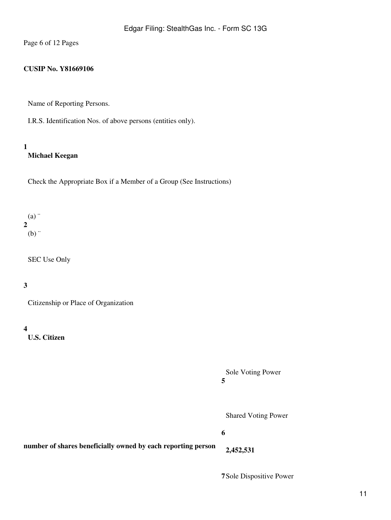Page 6 of 12 Pages

# **CUSIP No. Y81669106**

Name of Reporting Persons.

I.R.S. Identification Nos. of above persons (entities only).

## **1 Michael Keegan**

Check the Appropriate Box if a Member of a Group (See Instructions)

### **2** (a) ¨  $(b)$  "

SEC Use Only

# **3**

Citizenship or Place of Organization

#### **4**

**U.S. Citizen**

**5** Sole Voting Power

Shared Voting Power

#### **6**

**number of shares beneficially owned by each reporting person 2,452,531**

**7**Sole Dispositive Power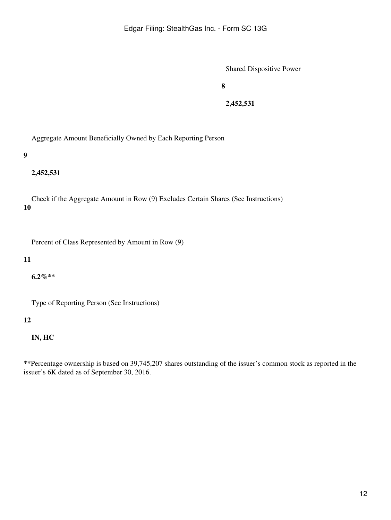**8**

**2,452,531**

Aggregate Amount Beneficially Owned by Each Reporting Person

**9**

**2,452,531**

**10** Check if the Aggregate Amount in Row (9) Excludes Certain Shares (See Instructions)

Percent of Class Represented by Amount in Row (9)

#### **11**

**6.2%\*\***

Type of Reporting Person (See Instructions)

#### **12**

**IN, HC**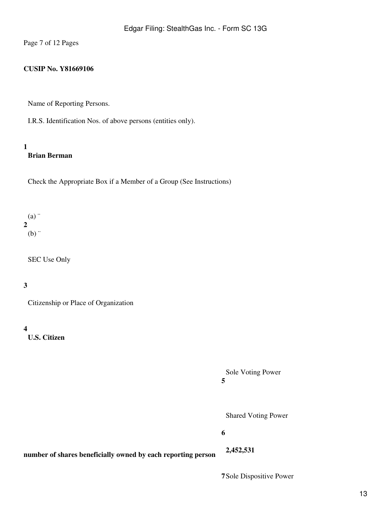Page 7 of 12 Pages

#### **CUSIP No. Y81669106**

Name of Reporting Persons.

I.R.S. Identification Nos. of above persons (entities only).

#### **1 Brian Berman**

Check the Appropriate Box if a Member of a Group (See Instructions)

#### **2**  $(a)$  $(b)$  "

SEC Use Only

# **3**

Citizenship or Place of Organization

#### **4**

**U.S. Citizen**

**5** Sole Voting Power

Shared Voting Power

#### **6**

**number of shares beneficially owned by each reporting person**

**7**Sole Dispositive Power

**2,452,531**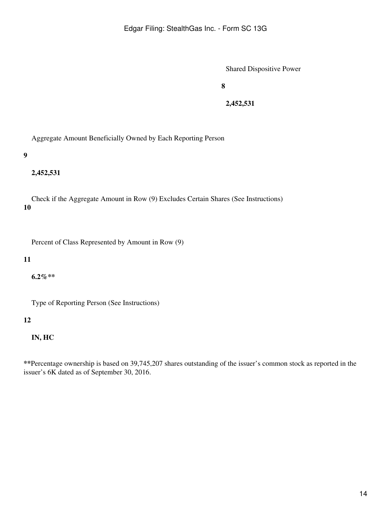**8**

**2,452,531**

Aggregate Amount Beneficially Owned by Each Reporting Person

**9**

**2,452,531**

**10** Check if the Aggregate Amount in Row (9) Excludes Certain Shares (See Instructions)

Percent of Class Represented by Amount in Row (9)

#### **11**

**6.2%\*\***

Type of Reporting Person (See Instructions)

#### **12**

**IN, HC**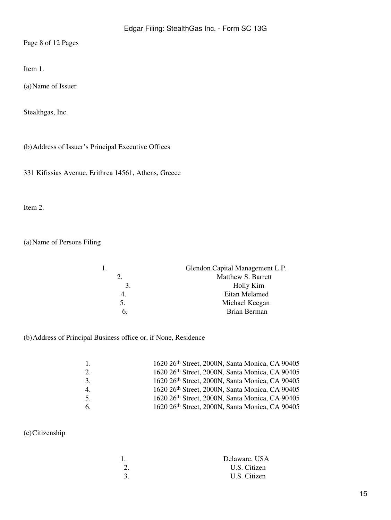Page 8 of 12 Pages

Item 1.

(a)Name of Issuer

Stealthgas, Inc.

(b)Address of Issuer's Principal Executive Offices

331 Kifissias Avenue, Erithrea 14561, Athens, Greece

Item 2.

(a)Name of Persons Filing

|    | Glendon Capital Management L.P. |
|----|---------------------------------|
|    | Matthew S. Barrett              |
| 3. | Holly Kim                       |
|    | Eitan Melamed                   |
| 5. | Michael Keegan                  |
| 6. | Brian Berman                    |
|    |                                 |

# (b)Address of Principal Business office or, if None, Residence

| $\overline{1}$ . | 1620 26th Street, 2000N, Santa Monica, CA 90405 |
|------------------|-------------------------------------------------|
| 2.               | 1620 26th Street, 2000N, Santa Monica, CA 90405 |
| 3.               | 1620 26th Street, 2000N, Santa Monica, CA 90405 |
| $\mathbf{4}$ .   | 1620 26th Street, 2000N, Santa Monica, CA 90405 |
| 5.               | 1620 26th Street, 2000N, Santa Monica, CA 90405 |
| 6.               | 1620 26th Street, 2000N, Santa Monica, CA 90405 |

# (c)Citizenship

| Delaware, USA |
|---------------|
| U.S. Citizen  |
| U.S. Citizen  |
|               |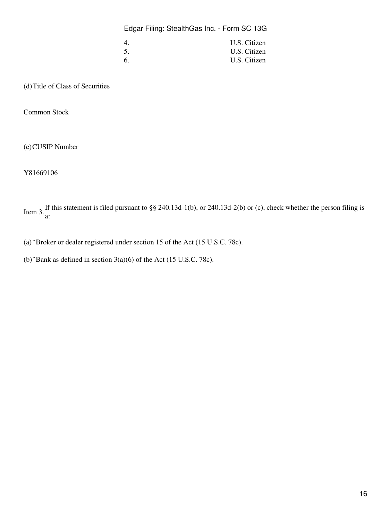Edgar Filing: StealthGas Inc. - Form SC 13G

| 4.  | U.S. Citizen |
|-----|--------------|
| 5.  | U.S. Citizen |
| -6. | U.S. Citizen |

(d)Title of Class of Securities

Common Stock

(e)CUSIP Number

Y81669106 

Item 3. If this statement is filed pursuant to §§ 240.13d-1(b), or 240.13d-2(b) or (c), check whether the person filing is a:

(a)¨Broker or dealer registered under section 15 of the Act (15 U.S.C. 78c).

(b)¨Bank as defined in section 3(a)(6) of the Act (15 U.S.C. 78c).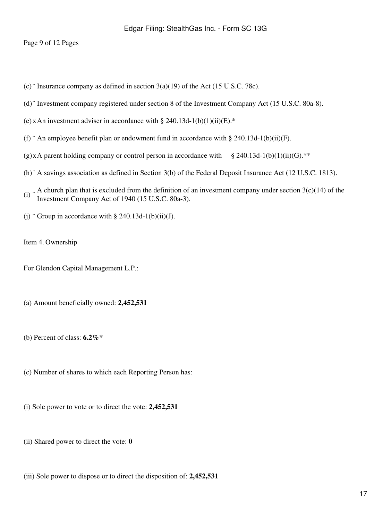Page 9 of 12 Pages

- (c) "Insurance company as defined in section  $3(a)(19)$  of the Act (15 U.S.C. 78c).
- (d)¨ Investment company registered under section 8 of the Investment Company Act (15 U.S.C. 80a-8).
- (e) x An investment adviser in accordance with § 240.13d-1(b)(1)(ii)(E).\*
- (f) " An employee benefit plan or endowment fund in accordance with § 240.13d-1(b)(ii)(F).
- (g)xA parent holding company or control person in accordance with § 240.13d-1(b)(1)(ii)(G).\*\*
- (h)¨ A savings association as defined in Section 3(b) of the Federal Deposit Insurance Act (12 U.S.C. 1813).
- (i)  $\therefore$  A church plan that is excluded from the definition of an investment company under section 3(c)(14) of the Investment Company Act of 1040 (15 U S G 800.3) Investment Company Act of 1940 (15 U.S.C. 80a-3).
- (j) "Group in accordance with  $\S$  240.13d-1(b)(ii)(J).
- Item 4. Ownership

For Glendon Capital Management L.P.:

- (a) Amount beneficially owned: **2,452,531**
- (b) Percent of class: **6.2%\***
- (c) Number of shares to which each Reporting Person has:
- (i) Sole power to vote or to direct the vote: **2,452,531**
- (ii) Shared power to direct the vote: **0**
- (iii) Sole power to dispose or to direct the disposition of: **2,452,531**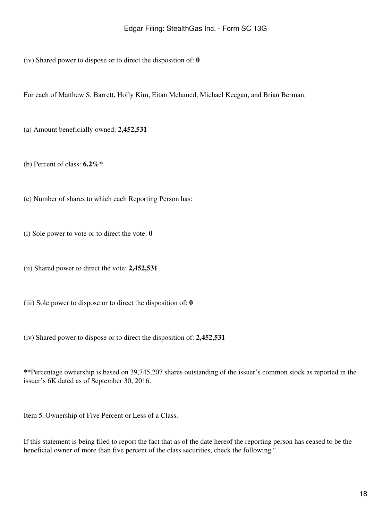(iv) Shared power to dispose or to direct the disposition of: **0**

For each of Matthew S. Barrett, Holly Kim, Eitan Melamed, Michael Keegan, and Brian Berman:

(a) Amount beneficially owned: **2,452,531**

(b) Percent of class: **6.2%\***

(c) Number of shares to which each Reporting Person has:

(i) Sole power to vote or to direct the vote: **0**

(ii) Shared power to direct the vote: **2,452,531**

(iii) Sole power to dispose or to direct the disposition of: **0**

(iv) Shared power to dispose or to direct the disposition of: **2,452,531**

**\*\***Percentage ownership is based on 39,745,207 shares outstanding of the issuer's common stock as reported in the issuer's 6K dated as of September 30, 2016.

Item 5. Ownership of Five Percent or Less of a Class.

If this statement is being filed to report the fact that as of the date hereof the reporting person has ceased to be the beneficial owner of more than five percent of the class securities, check the following "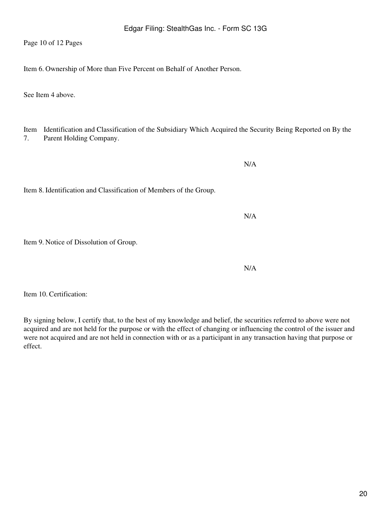Page 10 of 12 Pages

Item 6. Ownership of More than Five Percent on Behalf of Another Person.

See Item 4 above.

Item Identification and Classification of the Subsidiary Which Acquired the Security Being Reported on By the 7. Parent Holding Company.

Item 8. Identification and Classification of Members of the Group.

Item 9. Notice of Dissolution of Group.

Item 10. Certification:

By signing below, I certify that, to the best of my knowledge and belief, the securities referred to above were not acquired and are not held for the purpose or with the effect of changing or influencing the control of the issuer and were not acquired and are not held in connection with or as a participant in any transaction having that purpose or effect.

N/A

N/A

N/A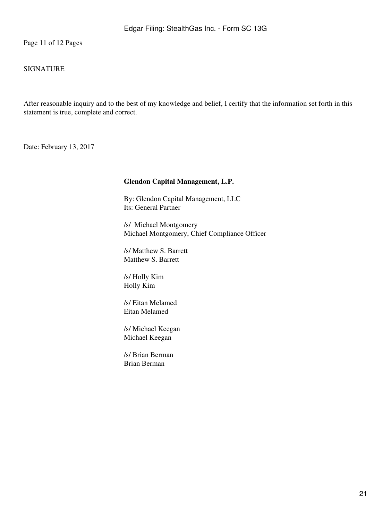Page 11 of 12 Pages

## SIGNATURE

After reasonable inquiry and to the best of my knowledge and belief, I certify that the information set forth in this statement is true, complete and correct.

Date: February 13, 2017

#### **Glendon Capital Management, L.P.**

By: Glendon Capital Management, LLC Its: General Partner

/s/ Michael Montgomery Michael Montgomery, Chief Compliance Officer

/s/ Matthew S. Barrett Matthew S. Barrett

/s/ Holly Kim Holly Kim

/s/ Eitan Melamed Eitan Melamed

/s/ Michael Keegan Michael Keegan

/s/ Brian Berman Brian Berman